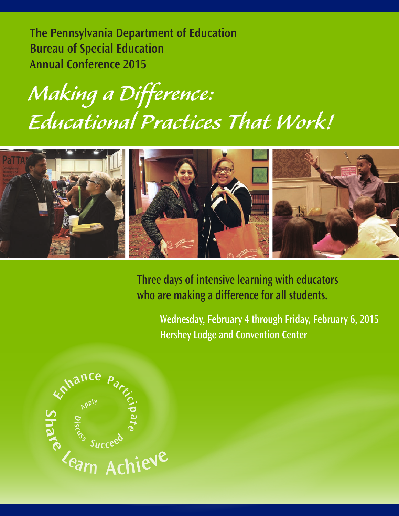**The Pennsylvania Department of Education Bureau of Special Education Annual Conference 2015**

## *Making a Difference: Educational Practices That Work!*



**Three days of intensive learning with educators who are making a difference for all students.**

> **Wednesday, February 4 through Friday, February 6, 2015 Hershey Lodge and Convention Center**

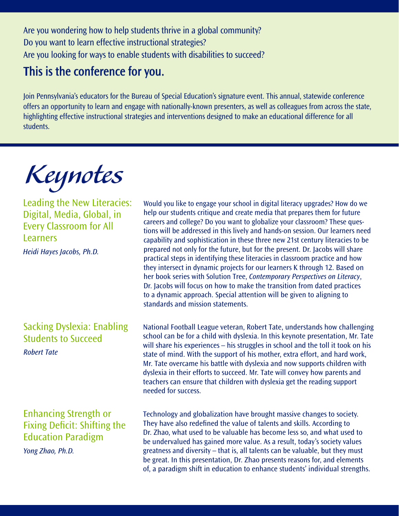Are you wondering how to help students thrive in a global community? Do you want to learn effective instructional strategies? Are you looking for ways to enable students with disabilities to succeed?

## This is the conference for you.

Join Pennsylvania's educators for the Bureau of Special Education's signature event. This annual, statewide conference offers an opportunity to learn and engage with nationally-known presenters, as well as colleagues from across the state, highlighting effective instructional strategies and interventions designed to make an educational difference for all students.

*Keynotes*

Leading the New Literacies: Digital, Media, Global, in Every Classroom for All Learners *Heidi Hayes Jacobs, Ph.D.* 

## Sacking Dyslexia: Enabling Students to Succeed *Robert Tate*

## Enhancing Strength or Fixing Deficit: Shifting the Education Paradigm

*Yong Zhao, Ph.D.*

Would you like to engage your school in digital literacy upgrades? How do we help our students critique and create media that prepares them for future careers and college? Do you want to globalize your classroom? These questions will be addressed in this lively and hands-on session. Our learners need capability and sophistication in these three new 21st century literacies to be prepared not only for the future, but for the present. Dr. Jacobs will share practical steps in identifying these literacies in classroom practice and how they intersect in dynamic projects for our learners K through 12. Based on her book series with Solution Tree, *Contemporary Perspectives on Literacy*, Dr. Jacobs will focus on how to make the transition from dated practices to a dynamic approach. Special attention will be given to aligning to standards and mission statements.

National Football League veteran, Robert Tate, understands how challenging school can be for a child with dyslexia. In this keynote presentation, Mr. Tate will share his experiences – his struggles in school and the toll it took on his state of mind. With the support of his mother, extra effort, and hard work, Mr. Tate overcame his battle with dyslexia and now supports children with dyslexia in their efforts to succeed. Mr. Tate will convey how parents and teachers can ensure that children with dyslexia get the reading support needed for success.

Technology and globalization have brought massive changes to society. They have also redefined the value of talents and skills. According to Dr. Zhao, what used to be valuable has become less so, and what used to be undervalued has gained more value. As a result, today's society values greatness and diversity – that is, all talents can be valuable, but they must be great. In this presentation, Dr. Zhao presents reasons for, and elements of, a paradigm shift in education to enhance students' individual strengths.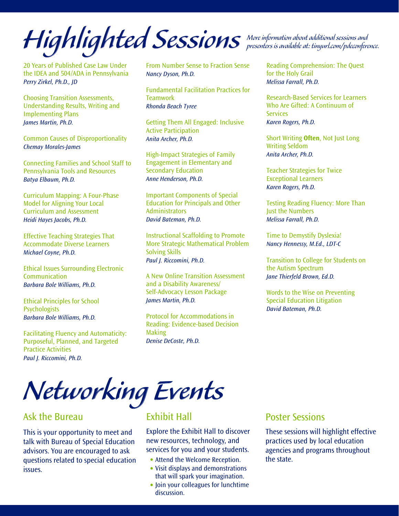*Highlighted Sessions More information about additional sessions and presenters is available at: tinyurl.com/pdeconference.*

20 Years of Published Case Law Under the IDEA and 504/ADA in Pennsylvania *Perry Zirkel, Ph.D., JD*

Choosing Transition Assessments, Understanding Results, Writing and Implementing Plans *James Martin, Ph.D.* 

Common Causes of Disproportionality *Chemay Morales-James*

Connecting Families and School Staff to Pennsylvania Tools and Resources *Batya Elbaum, Ph.D.* 

Curriculum Mapping: A Four-Phase Model for Aligning Your Local Curriculum and Assessment *Heidi Hayes Jacobs, Ph.D.* 

Effective Teaching Strategies That Accommodate Diverse Learners *Michael Coyne, Ph.D.*

Ethical Issues Surrounding Electronic **Communication** *Barbara Bole Williams, Ph.D.*

Ethical Principles for School **Psychologists** *Barbara Bole Williams, Ph.D.*

Facilitating Fluency and Automaticity: Purposeful, Planned, and Targeted Practice Activities *Paul J. Riccomini, Ph.D.*

From Number Sense to Fraction Sense *Nancy Dyson, Ph.D.*

Fundamental Facilitation Practices for **Teamwork** *Rhonda Beach Tyree*

Getting Them All Engaged: Inclusive Active Participation *Anita Archer, Ph.D.*

High-Impact Strategies of Family Engagement in Elementary and Secondary Education *Anne Henderson, Ph.D.* 

Important Components of Special Education for Principals and Other Administrators *David Bateman, Ph.D.*

Instructional Scaffolding to Promote More Strategic Mathematical Problem Solving Skills *Paul J. Riccomini, Ph.D.*

A New Online Transition Assessment and a Disability Awareness/ Self-Advocacy Lesson Package *James Martin, Ph.D.*

Protocol for Accommodations in Reading: Evidence-based Decision Making *Denise DeCoste, Ph.D.*

Reading Comprehension: The Quest for the Holy Grail *Melissa Farrall, Ph.D.*

Research-Based Services for Learners Who Are Gifted: A Continuum of **Services** *Karen Rogers, Ph.D.*

Short Writing **Often**, Not Just Long Writing Seldom *Anita Archer, Ph.D.*

Teacher Strategies for Twice Exceptional Learners *Karen Rogers, Ph.D.*

Testing Reading Fluency: More Than Just the Numbers *Melissa Farrall, Ph.D.*

Time to Demystify Dyslexia! *Nancy Hennessy, M.Ed., LDT-C*

Transition to College for Students on the Autism Spectrum *Jane Thierfeld Brown, Ed.D.*

Words to the Wise on Preventing Special Education Litigation *David Bateman, Ph.D.*

# *Networking Events*

#### Ask the Bureau

This is your opportunity to meet and talk with Bureau of Special Education advisors. You are encouraged to ask questions related to special education issues.

### Exhibit Hall

Explore the Exhibit Hall to discover new resources, technology, and services for you and your students.

- Attend the Welcome Reception.
- Visit displays and demonstrations that will spark your imagination.
- Join your colleagues for lunchtime discussion.

#### Poster Sessions

These sessions will highlight effective practices used by local education agencies and programs throughout the state.